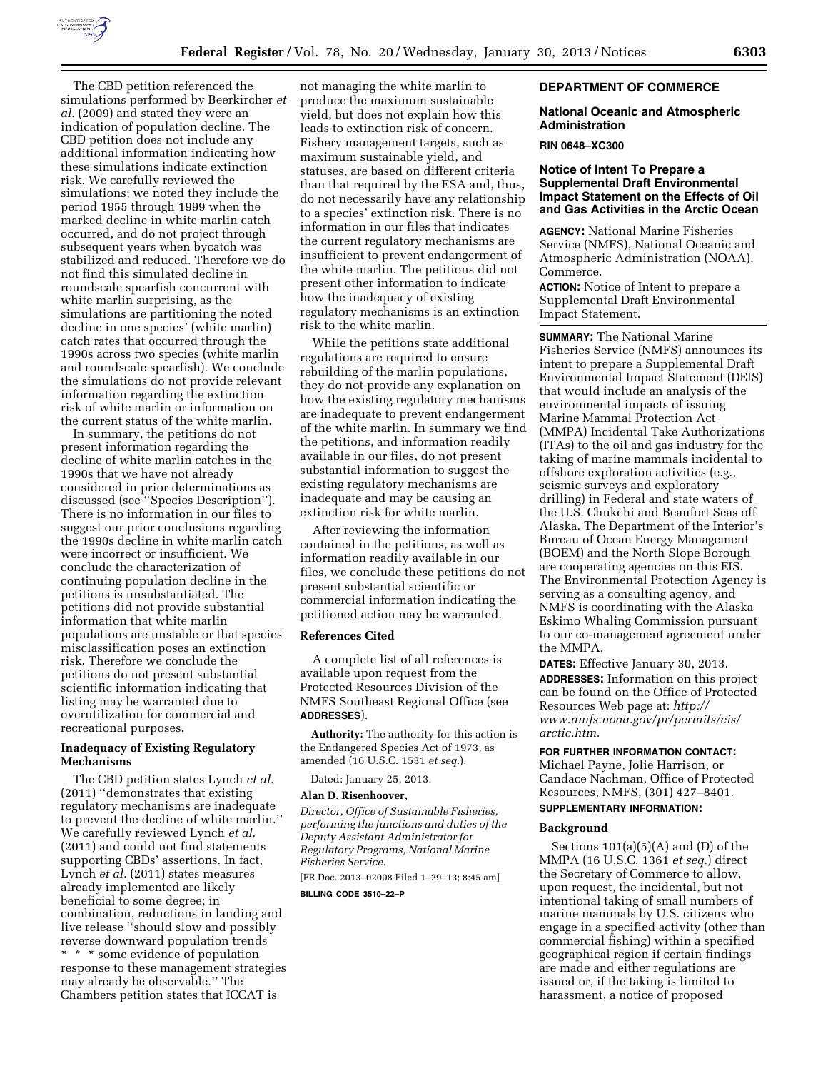

The CBD petition referenced the simulations performed by Beerkircher *et al.* (2009) and stated they were an indication of population decline. The CBD petition does not include any additional information indicating how these simulations indicate extinction risk. We carefully reviewed the simulations; we noted they include the period 1955 through 1999 when the marked decline in white marlin catch occurred, and do not project through subsequent years when bycatch was stabilized and reduced. Therefore we do not find this simulated decline in roundscale spearfish concurrent with white marlin surprising, as the simulations are partitioning the noted decline in one species' (white marlin) catch rates that occurred through the 1990s across two species (white marlin and roundscale spearfish). We conclude the simulations do not provide relevant information regarding the extinction risk of white marlin or information on the current status of the white marlin.

In summary, the petitions do not present information regarding the decline of white marlin catches in the 1990s that we have not already considered in prior determinations as discussed (see ''Species Description''). There is no information in our files to suggest our prior conclusions regarding the 1990s decline in white marlin catch were incorrect or insufficient. We conclude the characterization of continuing population decline in the petitions is unsubstantiated. The petitions did not provide substantial information that white marlin populations are unstable or that species misclassification poses an extinction risk. Therefore we conclude the petitions do not present substantial scientific information indicating that listing may be warranted due to overutilization for commercial and recreational purposes.

## **Inadequacy of Existing Regulatory Mechanisms**

The CBD petition states Lynch *et al.*  (2011) ''demonstrates that existing regulatory mechanisms are inadequate to prevent the decline of white marlin.'' We carefully reviewed Lynch *et al.*  (2011) and could not find statements supporting CBDs' assertions. In fact, Lynch *et al.* (2011) states measures already implemented are likely beneficial to some degree; in combination, reductions in landing and live release ''should slow and possibly reverse downward population trends \* \* \* some evidence of population response to these management strategies may already be observable.'' The Chambers petition states that ICCAT is

not managing the white marlin to produce the maximum sustainable yield, but does not explain how this leads to extinction risk of concern. Fishery management targets, such as maximum sustainable yield, and statuses, are based on different criteria than that required by the ESA and, thus, do not necessarily have any relationship to a species' extinction risk. There is no information in our files that indicates the current regulatory mechanisms are insufficient to prevent endangerment of the white marlin. The petitions did not present other information to indicate how the inadequacy of existing regulatory mechanisms is an extinction risk to the white marlin.

While the petitions state additional regulations are required to ensure rebuilding of the marlin populations, they do not provide any explanation on how the existing regulatory mechanisms are inadequate to prevent endangerment of the white marlin. In summary we find the petitions, and information readily available in our files, do not present substantial information to suggest the existing regulatory mechanisms are inadequate and may be causing an extinction risk for white marlin.

After reviewing the information contained in the petitions, as well as information readily available in our files, we conclude these petitions do not present substantial scientific or commercial information indicating the petitioned action may be warranted.

### **References Cited**

A complete list of all references is available upon request from the Protected Resources Division of the NMFS Southeast Regional Office (see **ADDRESSES**).

**Authority:** The authority for this action is the Endangered Species Act of 1973, as amended (16 U.S.C. 1531 *et seq.*).

Dated: January 25, 2013.

## **Alan D. Risenhoover,**

*Director, Office of Sustainable Fisheries, performing the functions and duties of the Deputy Assistant Administrator for Regulatory Programs, National Marine Fisheries Service.* 

[FR Doc. 2013–02008 Filed 1–29–13; 8:45 am] **BILLING CODE 3510–22–P** 

## **DEPARTMENT OF COMMERCE**

### **National Oceanic and Atmospheric Administration**

#### **RIN 0648–XC300**

## **Notice of Intent To Prepare a Supplemental Draft Environmental Impact Statement on the Effects of Oil and Gas Activities in the Arctic Ocean**

**AGENCY:** National Marine Fisheries Service (NMFS), National Oceanic and Atmospheric Administration (NOAA), Commerce.

**ACTION:** Notice of Intent to prepare a Supplemental Draft Environmental Impact Statement.

**SUMMARY:** The National Marine Fisheries Service (NMFS) announces its intent to prepare a Supplemental Draft Environmental Impact Statement (DEIS) that would include an analysis of the environmental impacts of issuing Marine Mammal Protection Act (MMPA) Incidental Take Authorizations (ITAs) to the oil and gas industry for the taking of marine mammals incidental to offshore exploration activities (e.g., seismic surveys and exploratory drilling) in Federal and state waters of the U.S. Chukchi and Beaufort Seas off Alaska. The Department of the Interior's Bureau of Ocean Energy Management (BOEM) and the North Slope Borough are cooperating agencies on this EIS. The Environmental Protection Agency is serving as a consulting agency, and NMFS is coordinating with the Alaska Eskimo Whaling Commission pursuant to our co-management agreement under the MMPA.

**DATES:** Effective January 30, 2013.

**ADDRESSES:** Information on this project can be found on the Office of Protected Resources Web page at: *[http://](http://www.nmfs.noaa.gov/pr/permits/eis/arctic.htm) [www.nmfs.noaa.gov/pr/permits/eis/](http://www.nmfs.noaa.gov/pr/permits/eis/arctic.htm)  [arctic.htm](http://www.nmfs.noaa.gov/pr/permits/eis/arctic.htm)*.

# **FOR FURTHER INFORMATION CONTACT:**

Michael Payne, Jolie Harrison, or Candace Nachman, Office of Protected Resources, NMFS, (301) 427–8401.

## **SUPPLEMENTARY INFORMATION:**

#### **Background**

Sections  $101(a)(5)(A)$  and  $(D)$  of the MMPA (16 U.S.C. 1361 *et seq.*) direct the Secretary of Commerce to allow, upon request, the incidental, but not intentional taking of small numbers of marine mammals by U.S. citizens who engage in a specified activity (other than commercial fishing) within a specified geographical region if certain findings are made and either regulations are issued or, if the taking is limited to harassment, a notice of proposed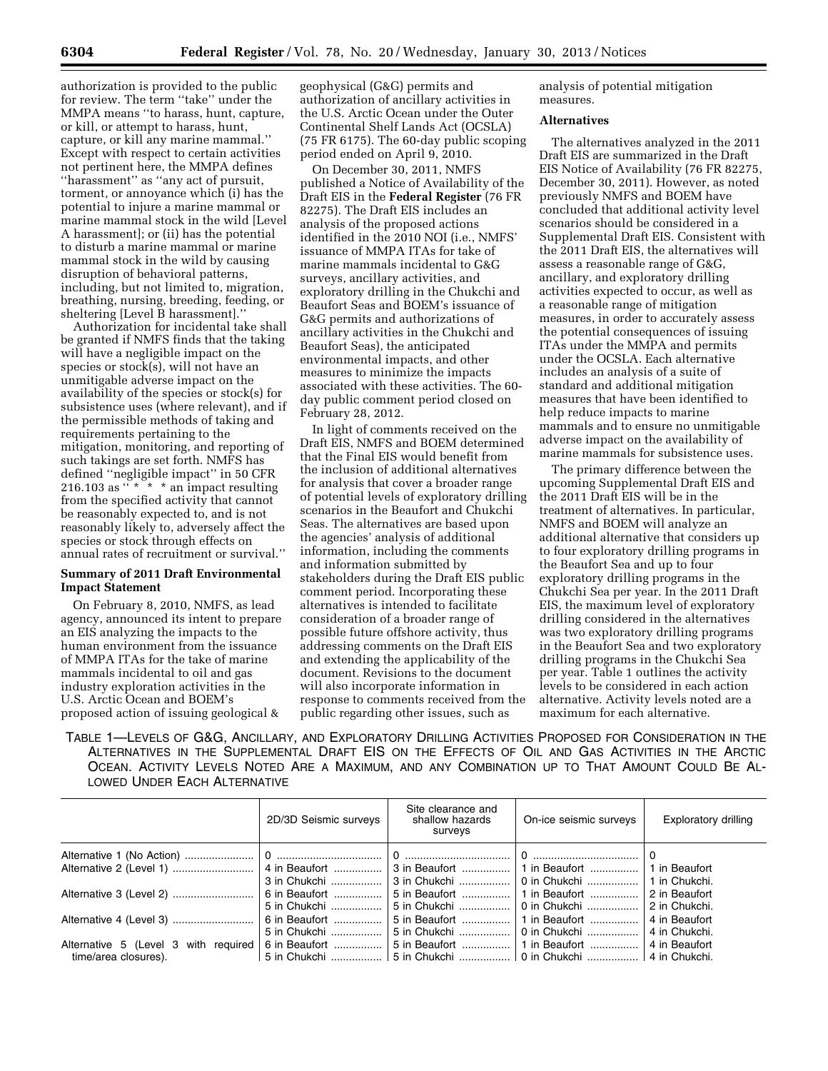authorization is provided to the public for review. The term ''take'' under the MMPA means ''to harass, hunt, capture, or kill, or attempt to harass, hunt, capture, or kill any marine mammal.'' Except with respect to certain activities not pertinent here, the MMPA defines ''harassment'' as ''any act of pursuit, torment, or annoyance which (i) has the potential to injure a marine mammal or marine mammal stock in the wild [Level A harassment]; or (ii) has the potential to disturb a marine mammal or marine mammal stock in the wild by causing disruption of behavioral patterns, including, but not limited to, migration, breathing, nursing, breeding, feeding, or sheltering [Level B harassment].''

Authorization for incidental take shall be granted if NMFS finds that the taking will have a negligible impact on the species or stock(s), will not have an unmitigable adverse impact on the availability of the species or stock(s) for subsistence uses (where relevant), and if the permissible methods of taking and requirements pertaining to the mitigation, monitoring, and reporting of such takings are set forth. NMFS has defined ''negligible impact'' in 50 CFR 216.103 as  $\cdots$   $\cdots$   $\cdots$  an impact resulting from the specified activity that cannot be reasonably expected to, and is not reasonably likely to, adversely affect the species or stock through effects on annual rates of recruitment or survival.''

### **Summary of 2011 Draft Environmental Impact Statement**

On February 8, 2010, NMFS, as lead agency, announced its intent to prepare an EIS analyzing the impacts to the human environment from the issuance of MMPA ITAs for the take of marine mammals incidental to oil and gas industry exploration activities in the U.S. Arctic Ocean and BOEM's proposed action of issuing geological &

geophysical (G&G) permits and authorization of ancillary activities in the U.S. Arctic Ocean under the Outer Continental Shelf Lands Act (OCSLA) (75 FR 6175). The 60-day public scoping period ended on April 9, 2010.

On December 30, 2011, NMFS published a Notice of Availability of the Draft EIS in the **Federal Register** (76 FR 82275). The Draft EIS includes an analysis of the proposed actions identified in the 2010 NOI (i.e., NMFS' issuance of MMPA ITAs for take of marine mammals incidental to G&G surveys, ancillary activities, and exploratory drilling in the Chukchi and Beaufort Seas and BOEM's issuance of G&G permits and authorizations of ancillary activities in the Chukchi and Beaufort Seas), the anticipated environmental impacts, and other measures to minimize the impacts associated with these activities. The 60 day public comment period closed on February 28, 2012.

In light of comments received on the Draft EIS, NMFS and BOEM determined that the Final EIS would benefit from the inclusion of additional alternatives for analysis that cover a broader range of potential levels of exploratory drilling scenarios in the Beaufort and Chukchi Seas. The alternatives are based upon the agencies' analysis of additional information, including the comments and information submitted by stakeholders during the Draft EIS public comment period. Incorporating these alternatives is intended to facilitate consideration of a broader range of possible future offshore activity, thus addressing comments on the Draft EIS and extending the applicability of the document. Revisions to the document will also incorporate information in response to comments received from the public regarding other issues, such as

analysis of potential mitigation measures.

### **Alternatives**

The alternatives analyzed in the 2011 Draft EIS are summarized in the Draft EIS Notice of Availability (76 FR 82275, December 30, 2011). However, as noted previously NMFS and BOEM have concluded that additional activity level scenarios should be considered in a Supplemental Draft EIS. Consistent with the 2011 Draft EIS, the alternatives will assess a reasonable range of G&G, ancillary, and exploratory drilling activities expected to occur, as well as a reasonable range of mitigation measures, in order to accurately assess the potential consequences of issuing ITAs under the MMPA and permits under the OCSLA. Each alternative includes an analysis of a suite of standard and additional mitigation measures that have been identified to help reduce impacts to marine mammals and to ensure no unmitigable adverse impact on the availability of marine mammals for subsistence uses.

The primary difference between the upcoming Supplemental Draft EIS and the 2011 Draft EIS will be in the treatment of alternatives. In particular, NMFS and BOEM will analyze an additional alternative that considers up to four exploratory drilling programs in the Beaufort Sea and up to four exploratory drilling programs in the Chukchi Sea per year. In the 2011 Draft EIS, the maximum level of exploratory drilling considered in the alternatives was two exploratory drilling programs in the Beaufort Sea and two exploratory drilling programs in the Chukchi Sea per year. Table 1 outlines the activity levels to be considered in each action alternative. Activity levels noted are a maximum for each alternative.

TABLE 1—LEVELS OF G&G, ANCILLARY, AND EXPLORATORY DRILLING ACTIVITIES PROPOSED FOR CONSIDERATION IN THE ALTERNATIVES IN THE SUPPLEMENTAL DRAFT EIS ON THE EFFECTS OF OIL AND GAS ACTIVITIES IN THE ARCTIC OCEAN. ACTIVITY LEVELS NOTED ARE A MAXIMUM, AND ANY COMBINATION UP TO THAT AMOUNT COULD BE AL-LOWED UNDER EACH ALTERNATIVE

|                                                                                           | 2D/3D Seismic surveys | Site clearance and<br>shallow hazards<br>surveys           | On-ice seismic surveys | <b>Exploratory drilling</b> |
|-------------------------------------------------------------------------------------------|-----------------------|------------------------------------------------------------|------------------------|-----------------------------|
|                                                                                           |                       |                                                            |                        |                             |
|                                                                                           |                       |                                                            |                        |                             |
|                                                                                           |                       |                                                            |                        |                             |
| Alternative 3 (Level 2)  6 in Beaufort    5 in Beaufort    1 in Beaufort    2 in Beaufort |                       |                                                            |                        |                             |
|                                                                                           |                       |                                                            |                        |                             |
|                                                                                           |                       | │ 5 in Beaufort  │ 1 in Beaufort  │ 4 in Beaufort          |                        |                             |
|                                                                                           |                       |                                                            |                        |                             |
|                                                                                           |                       |                                                            |                        |                             |
| time/area closures).                                                                      |                       | 5 in Chukchi   5 in Chukchi   0 in Chukchi   4 in Chukchi. |                        |                             |